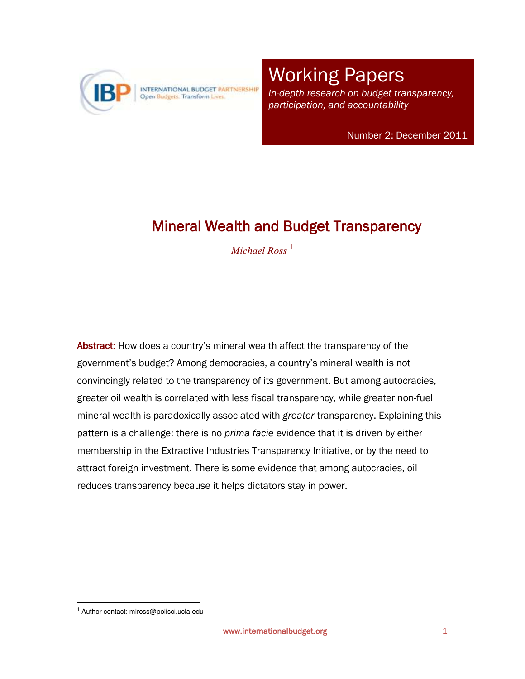

INTERNATIONAL BUDGET PARTNERSHIP Open Budgets, Transform Lives.

Working Papers

*In-depth research on budget transparency, participation, and accountability* 

Number 2: December 2011

# Mineral Wealth and Budget Transparency

*Michael Ross* <sup>1</sup>

 $\overline{\phantom{a}}$ 

I

Ξ

Abstract: How does a country's mineral wealth affect the transparency of the government's budget? Among democracies, a country's mineral wealth is not convincingly related to the transparency of its government. But among autocracies, greater oil wealth is correlated with less fiscal transparency, while greater non-fuel mineral wealth is paradoxically associated with *greater* transparency. Explaining this pattern is a challenge: there is no *prima facie* evidence that it is driven by either membership in the Extractive Industries Transparency Initiative, or by the need to attract foreign investment. There is some evidence that among autocracies, oil reduces transparency because it helps dictators stay in power.

 $\overline{\phantom{a}}$ 1 Author contact: [mlross@polisci.ucla.edu](mailto:mlross@polisci.ucla.edu)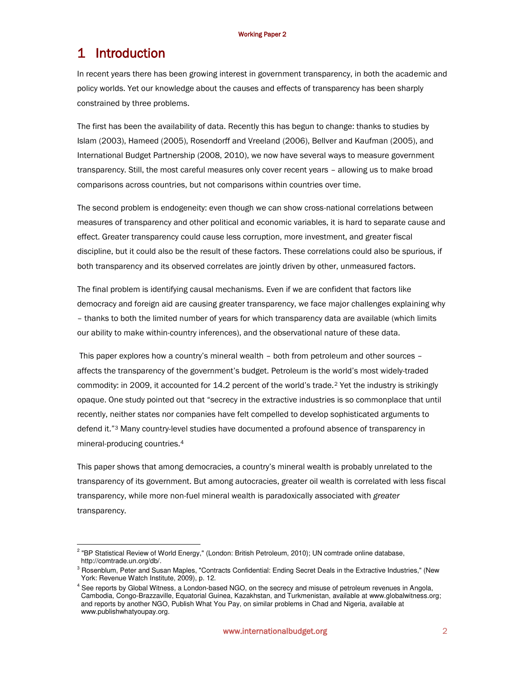## 1 Introduction

In recent years there has been growing interest in government transparency, in both the academic and policy worlds. Yet our knowledge about the causes and effects of transparency has been sharply constrained by three problems.

The first has been the availability of data. Recently this has begun to change: thanks to studies by Islam (2003), Hameed (2005), Rosendorff and Vreeland (2006), Bellver and Kaufman (2005), and International Budget Partnership (2008, 2010), we now have several ways to measure government transparency. Still, the most careful measures only cover recent years – allowing us to make broad comparisons across countries, but not comparisons within countries over time.

The second problem is endogeneity: even though we can show cross-national correlations between measures of transparency and other political and economic variables, it is hard to separate cause and effect. Greater transparency could cause less corruption, more investment, and greater fiscal discipline, but it could also be the result of these factors. These correlations could also be spurious, if both transparency and its observed correlates are jointly driven by other, unmeasured factors.

The final problem is identifying causal mechanisms. Even if we are confident that factors like democracy and foreign aid are causing greater transparency, we face major challenges explaining why – thanks to both the limited number of years for which transparency data are available (which limits our ability to make within-country inferences), and the observational nature of these data.

This paper explores how a country's mineral wealth – both from petroleum and other sources – affects the transparency of the government's budget. Petroleum is the world's most widely-traded commodity: in 2009, it accounted for 14.2 percent of the world's trade.<sup>2</sup> Yet the industry is strikingly opaque. One study pointed out that "secrecy in the extractive industries is so commonplace that until recently, neither states nor companies have felt compelled to develop sophisticated arguments to defend it."<sup>3</sup> Many country-level studies have documented a profound absence of transparency in mineral-producing countries.<sup>4</sup>

This paper shows that among democracies, a country's mineral wealth is probably unrelated to the transparency of its government. But among autocracies, greater oil wealth is correlated with less fiscal transparency, while more non-fuel mineral wealth is paradoxically associated with *greater*  transparency.

 2 "BP Statistical Review of World Energy," (London: British Petroleum, 2010); UN comtrade online database, [http://comtrade.un.org/db/.](http://comtrade.un.org/db/)

 $^3$  Rosenblum, Peter and Susan Maples, "Contracts Confidential: Ending Secret Deals in the Extractive Industries," (New York: Revenue Watch Institute, 2009), p. 12.

<sup>4</sup> See reports by Global Witness, a London-based NGO, on the secrecy and misuse of petroleum revenues in Angola, Cambodia, Congo-Brazzaville, Equatorial Guinea, Kazakhstan, and Turkmenistan, available a[t www.globalwitness.org;](http://www.globalwitness.org/) and reports by another NGO, Publish What You Pay, on similar problems in Chad and Nigeria, available at [www.publishwhatyoupay.org.](http://www.publishwhatyoupay.org/)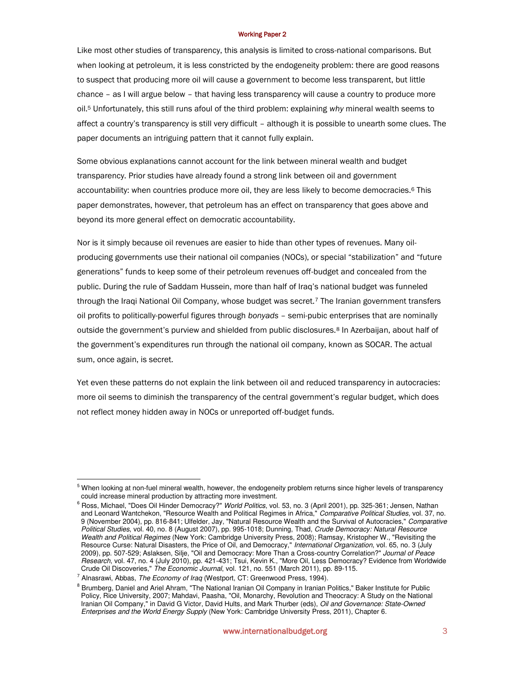Like most other studies of transparency, this analysis is limited to cross-national comparisons. But when looking at petroleum, it is less constricted by the endogeneity problem: there are good reasons to suspect that producing more oil will cause a government to become less transparent, but little chance – as I will argue below – that having less transparency will cause a country to produce more oil.5 Unfortunately, this still runs afoul of the third problem: explaining *why* mineral wealth seems to affect a country's transparency is still very difficult – although it is possible to unearth some clues. The paper documents an intriguing pattern that it cannot fully explain.

Some obvious explanations cannot account for the link between mineral wealth and budget transparency. Prior studies have already found a strong link between oil and government accountability: when countries produce more oil, they are less likely to become democracies.<sup>6</sup> This paper demonstrates, however, that petroleum has an effect on transparency that goes above and beyond its more general effect on democratic accountability.

Nor is it simply because oil revenues are easier to hide than other types of revenues. Many oilproducing governments use their national oil companies (NOCs), or special "stabilization" and "future generations" funds to keep some of their petroleum revenues off-budget and concealed from the public. During the rule of Saddam Hussein, more than half of Iraq's national budget was funneled through the Iraqi National Oil Company, whose budget was secret.7 The Iranian government transfers oil profits to politically-powerful figures through *bonyads* – semi-pubic enterprises that are nominally outside the government's purview and shielded from public disclosures.<sup>8</sup> In Azerbaijan, about half of the government's expenditures run through the national oil company, known as SOCAR. The actual sum, once again, is secret.

Yet even these patterns do not explain the link between oil and reduced transparency in autocracies: more oil seems to diminish the transparency of the central government's regular budget, which does not reflect money hidden away in NOCs or unreported off-budget funds.

 5 When looking at non-fuel mineral wealth, however, the endogeneity problem returns since higher levels of transparency could increase mineral production by attracting more investment.

<sup>6</sup> Ross, Michael, "Does Oil Hinder Democracy?" *World Politics*, vol. 53, no. 3 (April 2001), pp. 325-361; Jensen, Nathan and Leonard Wantchekon, "Resource Wealth and Political Regimes in Africa," *Comparative Political Studies*, vol. 37, no. 9 (November 2004), pp. 816-841; Ulfelder, Jay, "Natural Resource Wealth and the Survival of Autocracies," *Comparative Political Studies*, vol. 40, no. 8 (August 2007), pp. 995-1018; Dunning, Thad, *Crude Democracy: Natural Resource Wealth and Political Regimes* (New York: Cambridge University Press, 2008); Ramsay, Kristopher W., "Revisiting the Resource Curse: Natural Disasters, the Price of Oil, and Democracy," *International Organization*, vol. 65, no. 3 (July 2009), pp. 507-529; Aslaksen, Silje, "Oil and Democracy: More Than a Cross-country Correlation?" *Journal of Peace Research*, vol. 47, no. 4 (July 2010), pp. 421-431; Tsui, Kevin K., "More Oil, Less Democracy? Evidence from Worldwide Crude Oil Discoveries," *The Economic Journal*, vol. 121, no. 551 (March 2011), pp. 89-115.

<sup>7</sup> Alnasrawi, Abbas, *The Economy of Iraq* (Westport, CT: Greenwood Press, 1994).

<sup>&</sup>lt;sup>8</sup> Brumberg, Daniel and Ariel Ahram, "The National Iranian Oil Company in Iranian Politics," Baker Institute for Public Policy, Rice University, 2007; Mahdavi, Paasha, "Oil, Monarchy, Revolution and Theocracy: A Study on the National Iranian Oil Company," in David G Victor, David Hults, and Mark Thurber (eds), *Oil and Governance: State-Owned Enterprises and the World Energy Supply* (New York: Cambridge University Press, 2011), Chapter 6.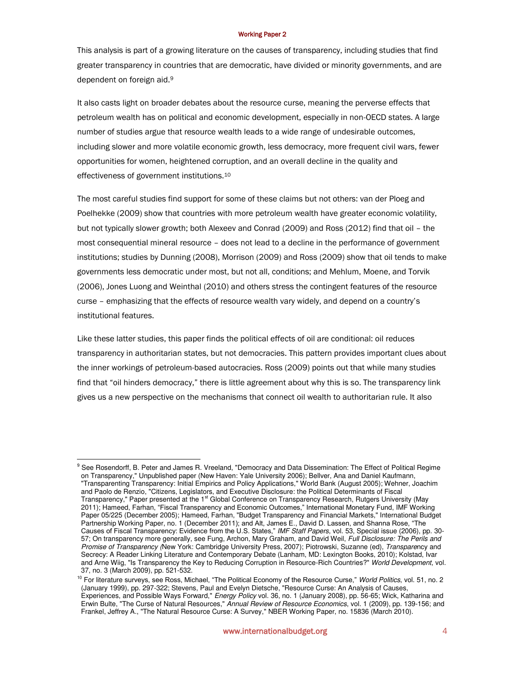This analysis is part of a growing literature on the causes of transparency, including studies that find greater transparency in countries that are democratic, have divided or minority governments, and are dependent on foreign aid.<sup>9</sup>

It also casts light on broader debates about the resource curse, meaning the perverse effects that petroleum wealth has on political and economic development, especially in non-OECD states. A large number of studies argue that resource wealth leads to a wide range of undesirable outcomes, including slower and more volatile economic growth, less democracy, more frequent civil wars, fewer opportunities for women, heightened corruption, and an overall decline in the quality and effectiveness of government institutions.<sup>10</sup>

The most careful studies find support for some of these claims but not others: van der Ploeg and Poelhekke (2009) show that countries with more petroleum wealth have greater economic volatility, but not typically slower growth; both Alexeev and Conrad (2009) and Ross (2012) find that oil – the most consequential mineral resource – does not lead to a decline in the performance of government institutions; studies by Dunning (2008), Morrison (2009) and Ross (2009) show that oil tends to make governments less democratic under most, but not all, conditions; and Mehlum, Moene, and Torvik (2006), Jones Luong and Weinthal (2010) and others stress the contingent features of the resource curse – emphasizing that the effects of resource wealth vary widely, and depend on a country's institutional features.

Like these latter studies, this paper finds the political effects of oil are conditional: oil reduces transparency in authoritarian states, but not democracies. This pattern provides important clues about the inner workings of petroleum-based autocracies. Ross (2009) points out that while many studies find that "oil hinders democracy," there is little agreement about why this is so. The transparency link gives us a new perspective on the mechanisms that connect oil wealth to authoritarian rule. It also

 9 See Rosendorff, B. Peter and James R. Vreeland, "Democracy and Data Dissemination: The Effect of Political Regime on Transparency," Unpublished paper (New Haven: Yale University 2006); Bellver, Ana and Daniel Kaufmann, "Transparenting Transparency: Initial Empirics and Policy Applications," World Bank (August 2005); Wehner, Joachim and Paolo de Renzio, "Citizens, Legislators, and Executive Disclosure: the Political Determinants of Fiscal Transparency," Paper presented at the 1<sup>st</sup> Global Conference on Transparency Research, Rutgers University (May 2011); Hameed, Farhan, "Fiscal Transparency and Economic Outcomes," International Monetary Fund, IMF Working Paper 05/225 (December 2005); Hameed, Farhan, "Budget Transparency and Financial Markets," International Budget Partnership Working Paper, no. 1 (December 2011); and Alt, James E., David D. Lassen, and Shanna Rose, "The Causes of Fiscal Transparency: Evidence from the U.S. States," *IMF Staff Papers*, vol. 53, Special issue (2006), pp. 30- 57; On transparency more generally, see Fung, Archon, Mary Graham, and David Weil, *Full Disclosure: The Perils and Promise of Transparency (*New York: Cambridge University Press, 2007); Piotrowski, Suzanne (ed), *Transpare*ncy and Secrecy: A Reader Linking Literature and Contemporary Debate (Lanham, MD: Lexington Books, 2010); Kolstad, Ivar and Arne Wiig, "Is Transparency the Key to Reducing Corruption in Resource-Rich Countries?" *World Development*, vol. 37, no. 3 (March 2009), pp. 521-532.

<sup>10</sup> For literature surveys, see Ross, Michael, "The Political Economy of the Resource Curse," *World Politics*, vol. 51, no. 2 (January 1999), pp. 297-322; Stevens, Paul and Evelyn Dietsche, "Resource Curse: An Analysis of Causes, Experiences, and Possible Ways Forward," *Energy Policy* vol. 36, no. 1 (January 2008), pp. 56-65; Wick, Katharina and Erwin Bulte, "The Curse of Natural Resources," *Annual Review of Resource Economics*, vol. 1 (2009), pp. 139-156; and Frankel, Jeffrey A., "The Natural Resource Curse: A Survey," NBER Working Paper, no. 15836 (March 2010).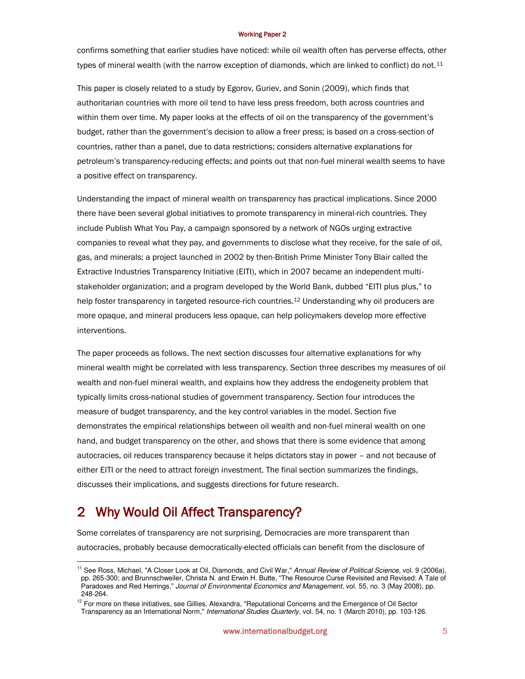confirms something that earlier studies have noticed: while oil wealth often has perverse effects, other types of mineral wealth (with the narrow exception of diamonds, which are linked to conflict) do not.<sup>11</sup>

This paper is closely related to a study by Egorov, Guriev, and Sonin (2009), which finds that authoritarian countries with more oil tend to have less press freedom, both across countries and within them over time. My paper looks at the effects of oil on the transparency of the government's budget, rather than the government's decision to allow a freer press; is based on a cross-section of countries, rather than a panel, due to data restrictions; considers alternative explanations for petroleum's transparency-reducing effects; and points out that non-fuel mineral wealth seems to have a positive effect on transparency.

Understanding the impact of mineral wealth on transparency has practical implications. Since 2000 there have been several global initiatives to promote transparency in mineral-rich countries. They include Publish What You Pay, a campaign sponsored by a network of NGOs urging extractive companies to reveal what they pay, and governments to disclose what they receive, for the sale of oil, gas, and minerals; a project launched in 2002 by then-British Prime Minister Tony Blair called the Extractive Industries Transparency Initiative (EITI), which in 2007 became an independent multistakeholder organization; and a program developed by the World Bank, dubbed "EITI plus plus," to help foster transparency in targeted resource-rich countries.<sup>12</sup> Understanding why oil producers are more opaque, and mineral producers less opaque, can help policymakers develop more effective interventions.

The paper proceeds as follows. The next section discusses four alternative explanations for why mineral wealth might be correlated with less transparency. Section three describes my measures of oil wealth and non-fuel mineral wealth, and explains how they address the endogeneity problem that typically limits cross-national studies of government transparency. Section four introduces the measure of budget transparency, and the key control variables in the model. Section five demonstrates the empirical relationships between oil wealth and non-fuel mineral wealth on one hand, and budget transparency on the other, and shows that there is some evidence that among autocracies, oil reduces transparency because it helps dictators stay in power – and not because of either EITI or the need to attract foreign investment. The final section summarizes the findings, discusses their implications, and suggests directions for future research.

## 2 Why Would Oil Affect Transparency?

 $\overline{\phantom{a}}$ 

Some correlates of transparency are not surprising. Democracies are more transparent than autocracies, probably because democratically-elected officials can benefit from the disclosure of

<sup>11</sup> See Ross, Michael, "A Closer Look at Oil, Diamonds, and Civil War," *Annual Review of Political Science*, vol. 9 (2006a), pp. 265-300; and Brunnschweiler, Christa N. and Erwin H. Butte, "The Resource Curse Revisited and Revised: A Tale of Paradoxes and Red Herrings," *Journal of Environmental Economics and Management*, vol. 55, no. 3 (May 2008), pp. 248-264.

<sup>&</sup>lt;sup>12</sup> For more on these initiatives, see Gillies, Alexandra, "Reputational Concerns and the Emergence of Oil Sector Transparency as an International Norm," *International Studies Quarterly*, vol. 54, no. 1 (March 2010), pp. 103-126.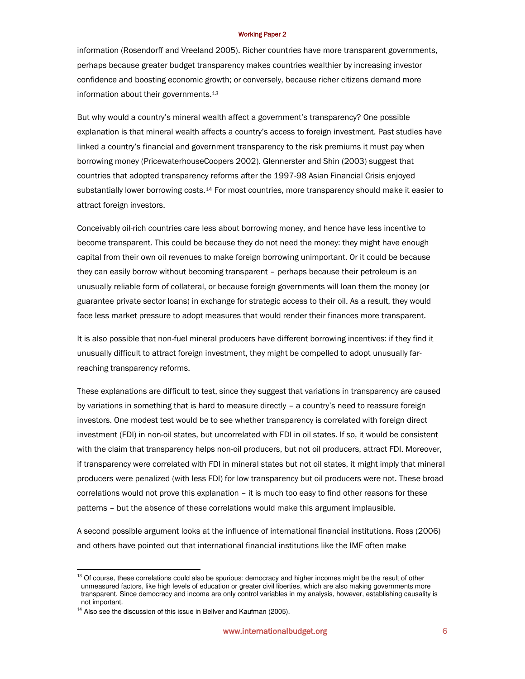information (Rosendorff and Vreeland 2005). Richer countries have more transparent governments, perhaps because greater budget transparency makes countries wealthier by increasing investor confidence and boosting economic growth; or conversely, because richer citizens demand more information about their governments.<sup>13</sup>

But why would a country's mineral wealth affect a government's transparency? One possible explanation is that mineral wealth affects a country's access to foreign investment. Past studies have linked a country's financial and government transparency to the risk premiums it must pay when borrowing money (PricewaterhouseCoopers 2002). Glennerster and Shin (2003) suggest that countries that adopted transparency reforms after the 1997-98 Asian Financial Crisis enjoyed substantially lower borrowing costs.<sup>14</sup> For most countries, more transparency should make it easier to attract foreign investors.

Conceivably oil-rich countries care less about borrowing money, and hence have less incentive to become transparent. This could be because they do not need the money: they might have enough capital from their own oil revenues to make foreign borrowing unimportant. Or it could be because they can easily borrow without becoming transparent – perhaps because their petroleum is an unusually reliable form of collateral, or because foreign governments will loan them the money (or guarantee private sector loans) in exchange for strategic access to their oil. As a result, they would face less market pressure to adopt measures that would render their finances more transparent.

It is also possible that non-fuel mineral producers have different borrowing incentives: if they find it unusually difficult to attract foreign investment, they might be compelled to adopt unusually farreaching transparency reforms.

These explanations are difficult to test, since they suggest that variations in transparency are caused by variations in something that is hard to measure directly – a country's need to reassure foreign investors. One modest test would be to see whether transparency is correlated with foreign direct investment (FDI) in non-oil states, but uncorrelated with FDI in oil states. If so, it would be consistent with the claim that transparency helps non-oil producers, but not oil producers, attract FDI. Moreover, if transparency were correlated with FDI in mineral states but not oil states, it might imply that mineral producers were penalized (with less FDI) for low transparency but oil producers were not. These broad correlations would not prove this explanation – it is much too easy to find other reasons for these patterns – but the absence of these correlations would make this argument implausible.

A second possible argument looks at the influence of international financial institutions. Ross (2006) and others have pointed out that international financial institutions like the IMF often make

<sup>&</sup>lt;sup>13</sup> Of course, these correlations could also be spurious: democracy and higher incomes might be the result of other unmeasured factors, like high levels of education or greater civil liberties, which are also making governments more transparent. Since democracy and income are only control variables in my analysis, however, establishing causality is not important.

 $14$  Also see the discussion of this issue in Bellver and Kaufman (2005).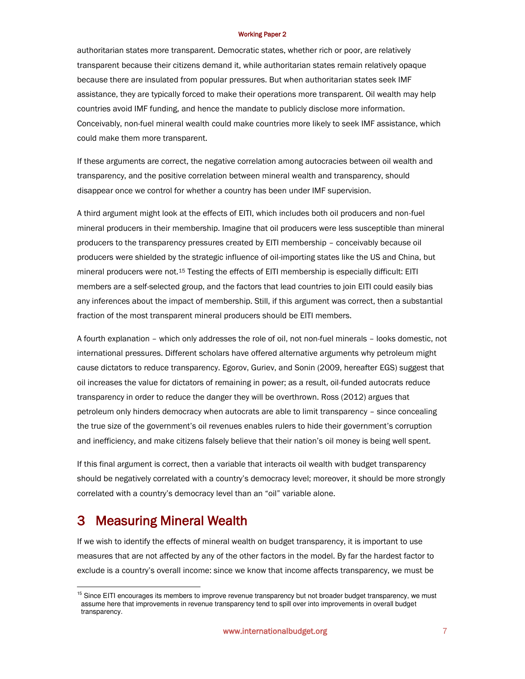authoritarian states more transparent. Democratic states, whether rich or poor, are relatively transparent because their citizens demand it, while authoritarian states remain relatively opaque because there are insulated from popular pressures. But when authoritarian states seek IMF assistance, they are typically forced to make their operations more transparent. Oil wealth may help countries avoid IMF funding, and hence the mandate to publicly disclose more information. Conceivably, non-fuel mineral wealth could make countries more likely to seek IMF assistance, which could make them more transparent.

If these arguments are correct, the negative correlation among autocracies between oil wealth and transparency, and the positive correlation between mineral wealth and transparency, should disappear once we control for whether a country has been under IMF supervision.

A third argument might look at the effects of EITI, which includes both oil producers and non-fuel mineral producers in their membership. Imagine that oil producers were less susceptible than mineral producers to the transparency pressures created by EITI membership – conceivably because oil producers were shielded by the strategic influence of oil-importing states like the US and China, but mineral producers were not.15 Testing the effects of EITI membership is especially difficult: EITI members are a self-selected group, and the factors that lead countries to join EITI could easily bias any inferences about the impact of membership. Still, if this argument was correct, then a substantial fraction of the most transparent mineral producers should be EITI members.

A fourth explanation – which only addresses the role of oil, not non-fuel minerals – looks domestic, not international pressures. Different scholars have offered alternative arguments why petroleum might cause dictators to reduce transparency. Egorov, Guriev, and Sonin (2009, hereafter EGS) suggest that oil increases the value for dictators of remaining in power; as a result, oil-funded autocrats reduce transparency in order to reduce the danger they will be overthrown. Ross (2012) argues that petroleum only hinders democracy when autocrats are able to limit transparency – since concealing the true size of the government's oil revenues enables rulers to hide their government's corruption and inefficiency, and make citizens falsely believe that their nation's oil money is being well spent.

If this final argument is correct, then a variable that interacts oil wealth with budget transparency should be negatively correlated with a country's democracy level; moreover, it should be more strongly correlated with a country's democracy level than an "oil" variable alone.

## 3 Measuring Mineral Wealth

 $\overline{a}$ 

If we wish to identify the effects of mineral wealth on budget transparency, it is important to use measures that are not affected by any of the other factors in the model. By far the hardest factor to exclude is a country's overall income: since we know that income affects transparency, we must be

<sup>&</sup>lt;sup>15</sup> Since EITI encourages its members to improve revenue transparency but not broader budget transparency, we must assume here that improvements in revenue transparency tend to spill over into improvements in overall budget transparency.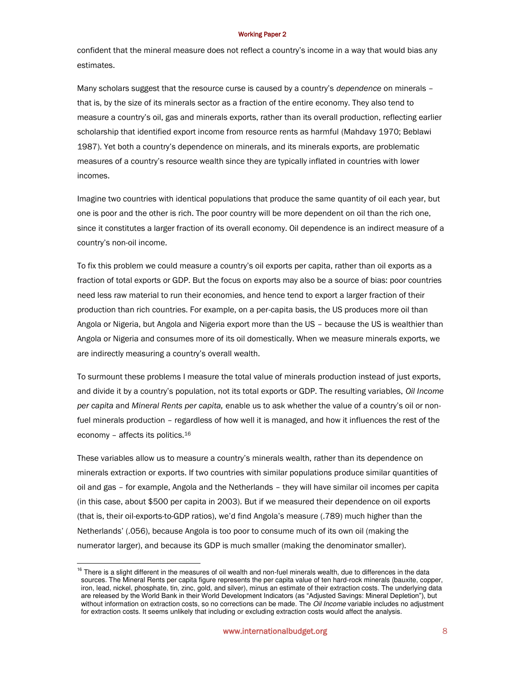confident that the mineral measure does not reflect a country's income in a way that would bias any estimates.

Many scholars suggest that the resource curse is caused by a country's *dependence* on minerals – that is, by the size of its minerals sector as a fraction of the entire economy. They also tend to measure a country's oil, gas and minerals exports, rather than its overall production, reflecting earlier scholarship that identified export income from resource rents as harmful (Mahdavy 1970; Beblawi 1987). Yet both a country's dependence on minerals, and its minerals exports, are problematic measures of a country's resource wealth since they are typically inflated in countries with lower incomes.

Imagine two countries with identical populations that produce the same quantity of oil each year, but one is poor and the other is rich. The poor country will be more dependent on oil than the rich one, since it constitutes a larger fraction of its overall economy. Oil dependence is an indirect measure of a country's non-oil income.

To fix this problem we could measure a country's oil exports per capita, rather than oil exports as a fraction of total exports or GDP. But the focus on exports may also be a source of bias: poor countries need less raw material to run their economies, and hence tend to export a larger fraction of their production than rich countries. For example, on a per-capita basis, the US produces more oil than Angola or Nigeria, but Angola and Nigeria export more than the US – because the US is wealthier than Angola or Nigeria and consumes more of its oil domestically. When we measure minerals exports, we are indirectly measuring a country's overall wealth.

To surmount these problems I measure the total value of minerals production instead of just exports, and divide it by a country's population, not its total exports or GDP. The resulting variables, *Oil Income per capita* and *Mineral Rents per capita,* enable us to ask whether the value of a country's oil or nonfuel minerals production – regardless of how well it is managed, and how it influences the rest of the economy – affects its politics.<sup>16</sup>

These variables allow us to measure a country's minerals wealth, rather than its dependence on minerals extraction or exports. If two countries with similar populations produce similar quantities of oil and gas – for example, Angola and the Netherlands – they will have similar oil incomes per capita (in this case, about \$500 per capita in 2003). But if we measured their dependence on oil exports (that is, their oil-exports-to-GDP ratios), we'd find Angola's measure (.789) much higher than the Netherlands' (.056), because Angola is too poor to consume much of its own oil (making the numerator larger), and because its GDP is much smaller (making the denominator smaller).

 $16$  There is a slight different in the measures of oil wealth and non-fuel minerals wealth, due to differences in the data sources. The Mineral Rents per capita figure represents the per capita value of ten hard-rock minerals (bauxite, copper, iron, lead, nickel, phosphate, tin, zinc, gold, and silver), minus an estimate of their extraction costs. The underlying data are released by the World Bank in their World Development Indicators (as "Adjusted Savings: Mineral Depletion"), but without information on extraction costs, so no corrections can be made. The *Oil Income* variable includes no adjustment for extraction costs. It seems unlikely that including or excluding extraction costs would affect the analysis.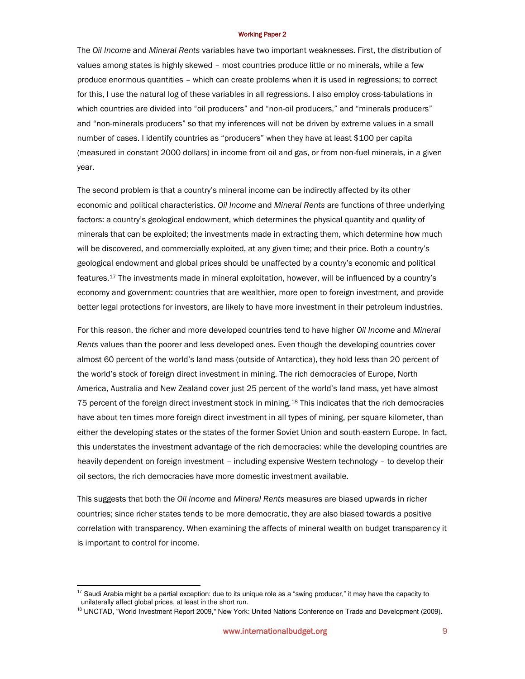The *Oil Income* and *Mineral Rents* variables have two important weaknesses. First, the distribution of values among states is highly skewed – most countries produce little or no minerals, while a few produce enormous quantities – which can create problems when it is used in regressions; to correct for this, I use the natural log of these variables in all regressions. I also employ cross-tabulations in which countries are divided into "oil producers" and "non-oil producers," and "minerals producers" and "non-minerals producers" so that my inferences will not be driven by extreme values in a small number of cases. I identify countries as "producers" when they have at least \$100 per capita (measured in constant 2000 dollars) in income from oil and gas, or from non-fuel minerals, in a given year.

The second problem is that a country's mineral income can be indirectly affected by its other economic and political characteristics. *Oil Income* and *Mineral Rents* are functions of three underlying factors: a country's geological endowment, which determines the physical quantity and quality of minerals that can be exploited; the investments made in extracting them, which determine how much will be discovered, and commercially exploited, at any given time; and their price. Both a country's geological endowment and global prices should be unaffected by a country's economic and political features.<sup>17</sup> The investments made in mineral exploitation, however, will be influenced by a country's economy and government: countries that are wealthier, more open to foreign investment, and provide better legal protections for investors, are likely to have more investment in their petroleum industries.

For this reason, the richer and more developed countries tend to have higher *Oil Income* and *Mineral Rents* values than the poorer and less developed ones. Even though the developing countries cover almost 60 percent of the world's land mass (outside of Antarctica), they hold less than 20 percent of the world's stock of foreign direct investment in mining. The rich democracies of Europe, North America, Australia and New Zealand cover just 25 percent of the world's land mass, yet have almost 75 percent of the foreign direct investment stock in mining.18 This indicates that the rich democracies have about ten times more foreign direct investment in all types of mining, per square kilometer, than either the developing states or the states of the former Soviet Union and south-eastern Europe. In fact, this understates the investment advantage of the rich democracies: while the developing countries are heavily dependent on foreign investment – including expensive Western technology – to develop their oil sectors, the rich democracies have more domestic investment available.

This suggests that both the *Oil Income* and *Mineral Rents* measures are biased upwards in richer countries; since richer states tends to be more democratic, they are also biased towards a positive correlation with transparency. When examining the affects of mineral wealth on budget transparency it is important to control for income.

 $^{17}$  Saudi Arabia might be a partial exception: due to its unique role as a "swing producer," it may have the capacity to unilaterally affect global prices, at least in the short run.

<sup>&</sup>lt;sup>18</sup> UNCTAD, "World Investment Report 2009," New York: United Nations Conference on Trade and Development (2009).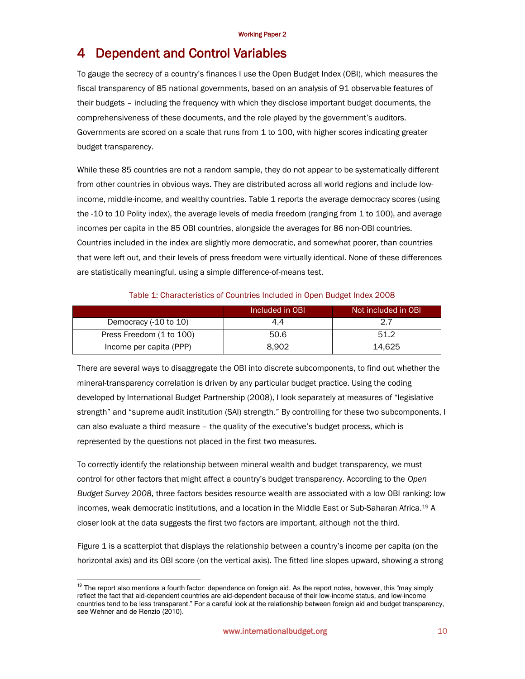## 4 Dependent and Control Variables

To gauge the secrecy of a country's finances I use the Open Budget Index (OBI), which measures the fiscal transparency of 85 national governments, based on an analysis of 91 observable features of their budgets – including the frequency with which they disclose important budget documents, the comprehensiveness of these documents, and the role played by the government's auditors. Governments are scored on a scale that runs from 1 to 100, with higher scores indicating greater budget transparency.

While these 85 countries are not a random sample, they do not appear to be systematically different from other countries in obvious ways. They are distributed across all world regions and include lowincome, middle-income, and wealthy countries. Table 1 reports the average democracy scores (using the -10 to 10 Polity index), the average levels of media freedom (ranging from 1 to 100), and average incomes per capita in the 85 OBI countries, alongside the averages for 86 non-OBI countries. Countries included in the index are slightly more democratic, and somewhat poorer, than countries that were left out, and their levels of press freedom were virtually identical. None of these differences are statistically meaningful, using a simple difference-of-means test.

|                          | Included in OBI | Not included in OBI |
|--------------------------|-----------------|---------------------|
| Democracy (-10 to 10)    |                 |                     |
| Press Freedom (1 to 100) | 50.6            | 51.2                |
| Income per capita (PPP)  | 8.902           | 14.625              |

### Table 1: Characteristics of Countries Included in Open Budget Index 2008

There are several ways to disaggregate the OBI into discrete subcomponents, to find out whether the mineral-transparency correlation is driven by any particular budget practice. Using the coding developed by International Budget Partnership (2008), I look separately at measures of "legislative strength" and "supreme audit institution (SAI) strength." By controlling for these two subcomponents, I can also evaluate a third measure – the quality of the executive's budget process, which is represented by the questions not placed in the first two measures.

To correctly identify the relationship between mineral wealth and budget transparency, we must control for other factors that might affect a country's budget transparency. According to the *Open Budget Survey 2008,* three factors besides resource wealth are associated with a low OBI ranking: low incomes, weak democratic institutions, and a location in the Middle East or Sub-Saharan Africa.<sup>19</sup> A closer look at the data suggests the first two factors are important, although not the third.

Figure 1 is a scatterplot that displays the relationship between a country's income per capita (on the horizontal axis) and its OBI score (on the vertical axis). The fitted line slopes upward, showing a strong

 $\overline{a}$ <sup>19</sup> The report also mentions a fourth factor: dependence on foreign aid. As the report notes, however, this "may simply reflect the fact that aid-dependent countries are aid-dependent because of their low-income status, and low-income countries tend to be less transparent." For a careful look at the relationship between foreign aid and budget transparency, see Wehner and de Renzio (2010).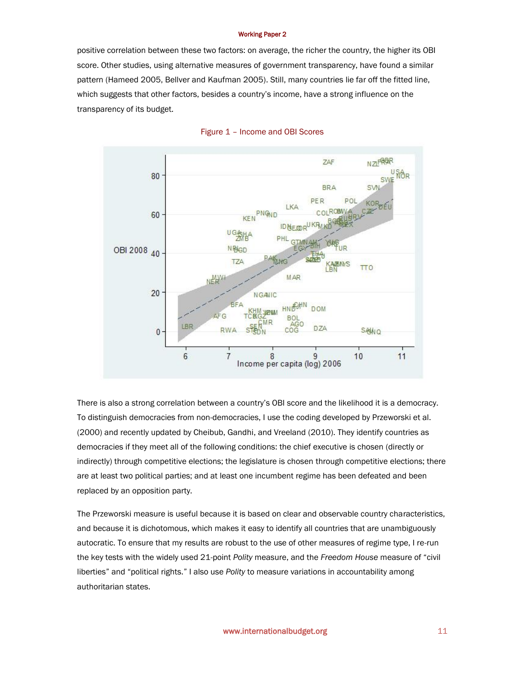positive correlation between these two factors: on average, the richer the country, the higher its OBI score. Other studies, using alternative measures of government transparency, have found a similar pattern (Hameed 2005, Bellver and Kaufman 2005). Still, many countries lie far off the fitted line, which suggests that other factors, besides a country's income, have a strong influence on the transparency of its budget.



### Figure 1 – Income and OBI Scores

There is also a strong correlation between a country's OBI score and the likelihood it is a democracy. To distinguish democracies from non-democracies, I use the coding developed by Przeworski et al. (2000) and recently updated by Cheibub, Gandhi, and Vreeland (2010). They identify countries as democracies if they meet all of the following conditions: the chief executive is chosen (directly or indirectly) through competitive elections; the legislature is chosen through competitive elections; there are at least two political parties; and at least one incumbent regime has been defeated and been replaced by an opposition party.

The Przeworski measure is useful because it is based on clear and observable country characteristics, and because it is dichotomous, which makes it easy to identify all countries that are unambiguously autocratic. To ensure that my results are robust to the use of other measures of regime type, I re-run the key tests with the widely used 21-point *Polity* measure, and the *Freedom House* measure of "civil liberties" and "political rights." I also use *Polity* to measure variations in accountability among authoritarian states.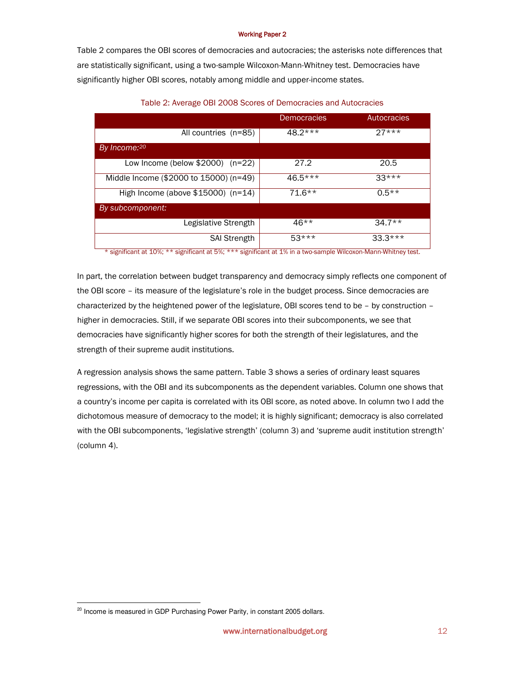Table 2 compares the OBI scores of democracies and autocracies; the asterisks note differences that are statistically significant, using a two-sample Wilcoxon-Mann-Whitney test. Democracies have significantly higher OBI scores, notably among middle and upper-income states.

|                                        | <b>Democracies</b> | <b>Autocracies</b> |
|----------------------------------------|--------------------|--------------------|
| All countries (n=85)                   | $48.2***$          | $27***$            |
| By Income:20                           |                    |                    |
| Low Income (below $$2000$ ) (n=22)     | 27.2               | 20.5               |
| Middle Income (\$2000 to 15000) (n=49) | $46.5***$          | $33***$            |
| High Income (above $$15000$ ) (n=14)   | $71.6**$           | $0.5**$            |
| By subcomponent:                       |                    |                    |
| Legislative Strength                   | 46**               | $34.7**$           |
| <b>SAI Strength</b>                    | $53***$            | $33.3***$          |

### Table 2: Average OBI 2008 Scores of Democracies and Autocracies

\* significant at 10%; \*\* significant at 5%; \*\*\* significant at 1% in a two-sample Wilcoxon-Mann-Whitney test.

In part, the correlation between budget transparency and democracy simply reflects one component of the OBI score – its measure of the legislature's role in the budget process. Since democracies are characterized by the heightened power of the legislature, OBI scores tend to be – by construction – higher in democracies. Still, if we separate OBI scores into their subcomponents, we see that democracies have significantly higher scores for both the strength of their legislatures, and the strength of their supreme audit institutions.

A regression analysis shows the same pattern. Table 3 shows a series of ordinary least squares regressions, with the OBI and its subcomponents as the dependent variables. Column one shows that a country's income per capita is correlated with its OBI score, as noted above. In column two I add the dichotomous measure of democracy to the model; it is highly significant; democracy is also correlated with the OBI subcomponents, 'legislative strength' (column 3) and 'supreme audit institution strength' (column 4).

<sup>&</sup>lt;sup>20</sup> Income is measured in GDP Purchasing Power Parity, in constant 2005 dollars.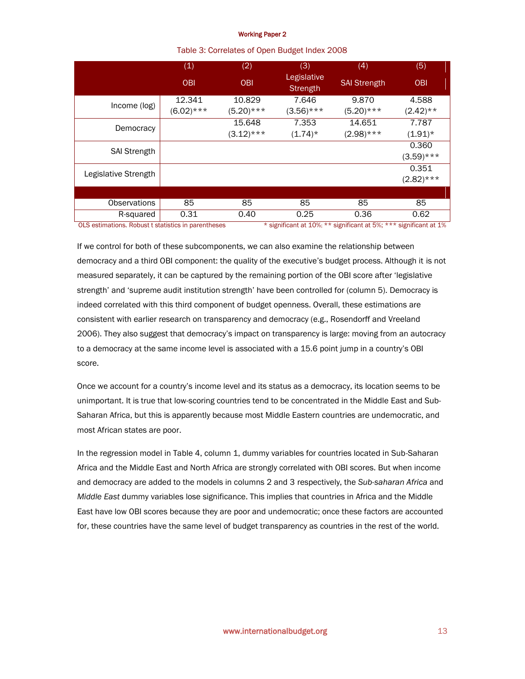|                                                                                     | (1)         | (2)          | (3)                     | (4)                                                                                                                | (5)         |
|-------------------------------------------------------------------------------------|-------------|--------------|-------------------------|--------------------------------------------------------------------------------------------------------------------|-------------|
|                                                                                     | <b>OBI</b>  | <b>OBI</b>   | Legislative<br>Strength | <b>SAI Strength</b>                                                                                                | <b>OBI</b>  |
| Income (log)                                                                        | 12.341      | 10.829       | 7.646                   | 9.870                                                                                                              | 4.588       |
|                                                                                     | $(6.02)***$ | $(5.20)$ *** | $(3.56)***$             | $(5.20)$ ***                                                                                                       | $(2.42)$ ** |
| Democracy                                                                           |             | 15.648       | 7.353                   | 14.651                                                                                                             | 7.787       |
|                                                                                     |             | $(3.12)***$  | $(1.74)^*$              | $(2.98)***$                                                                                                        | $(1.91)^*$  |
| <b>SAI Strength</b>                                                                 |             |              |                         |                                                                                                                    | 0.360       |
|                                                                                     |             |              |                         |                                                                                                                    | $(3.59)***$ |
| Legislative Strength                                                                |             |              |                         |                                                                                                                    | 0.351       |
|                                                                                     |             |              |                         |                                                                                                                    | $(2.82)***$ |
|                                                                                     |             |              |                         |                                                                                                                    |             |
| <b>Observations</b>                                                                 | 85          | 85           | 85                      | 85                                                                                                                 | 85          |
| R-squared<br>OLO producento della Professora di capatrattere fue depositable e e el | 0.31        | 0.40         | 0.25                    | 0.36<br>/ 10 ساعت المساحد التي تعادل المساحد المساحد المساحد التي تعادل المساحد المساحد المساحد التي تعادل المساحد | 0.62        |

Table 3: Correlates of Open Budget Index 2008

OLS estimations. Robust t statistics in parentheses \* significant at 10%; \*\* significant at 5%; \*\*\* significant at 1%

If we control for both of these subcomponents, we can also examine the relationship between democracy and a third OBI component: the quality of the executive's budget process. Although it is not measured separately, it can be captured by the remaining portion of the OBI score after 'legislative strength' and 'supreme audit institution strength' have been controlled for (column 5). Democracy is indeed correlated with this third component of budget openness. Overall, these estimations are consistent with earlier research on transparency and democracy (e.g., Rosendorff and Vreeland 2006). They also suggest that democracy's impact on transparency is large: moving from an autocracy to a democracy at the same income level is associated with a 15.6 point jump in a country's OBI score.

Once we account for a country's income level and its status as a democracy, its location seems to be unimportant. It is true that low-scoring countries tend to be concentrated in the Middle East and Sub-Saharan Africa, but this is apparently because most Middle Eastern countries are undemocratic, and most African states are poor.

In the regression model in Table 4, column 1, dummy variables for countries located in Sub-Saharan Africa and the Middle East and North Africa are strongly correlated with OBI scores. But when income and democracy are added to the models in columns 2 and 3 respectively, the *Sub-saharan Africa* and *Middle East* dummy variables lose significance. This implies that countries in Africa and the Middle East have low OBI scores because they are poor and undemocratic; once these factors are accounted for, these countries have the same level of budget transparency as countries in the rest of the world.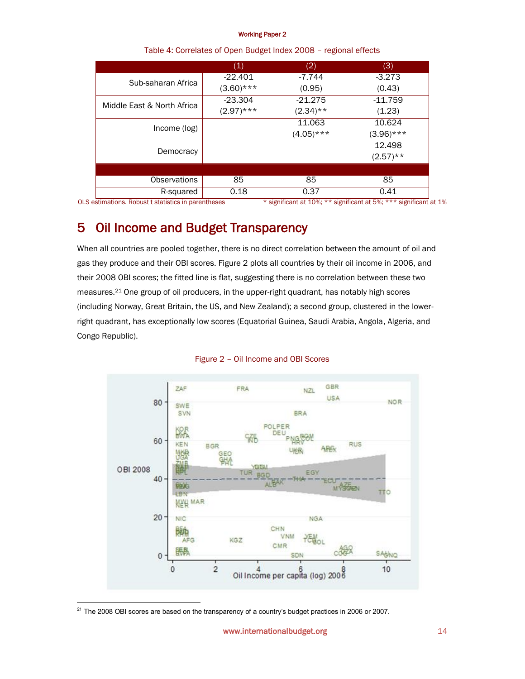|                            | (1)          | (2)         | (3)         |
|----------------------------|--------------|-------------|-------------|
| Sub-saharan Africa         | $-22.401$    | $-7.744$    | $-3.273$    |
|                            | $(3.60)$ *** | (0.95)      | (0.43)      |
| Middle East & North Africa | $-23.304$    | $-21.275$   | $-11.759$   |
|                            | $(2.97)$ *** | $(2.34)$ ** | (1.23)      |
| Income (log)               |              | 11.063      | 10.624      |
|                            |              | $(4.05)***$ | $(3.96)***$ |
|                            |              |             | 12.498      |
| Democracy                  |              |             | $(2.57)$ ** |
|                            |              |             |             |
| <b>Observations</b>        | 85           | 85          | 85          |
| R-squared                  | 0.18         | 0.37        | 0.41        |

### Table 4: Correlates of Open Budget Index 2008 – regional effects

 $\overline{a}$ 

OLS estimations. Robust t statistics in parentheses \* significant at 10%; \*\* significant at 5%; \*\*\* significant at 1%

## 5 Oil Income and Budget Transparency

When all countries are pooled together, there is no direct correlation between the amount of oil and gas they produce and their OBI scores. Figure 2 plots all countries by their oil income in 2006, and their 2008 OBI scores; the fitted line is flat, suggesting there is no correlation between these two measures.21 One group of oil producers, in the upper-right quadrant, has notably high scores (including Norway, Great Britain, the US, and New Zealand); a second group, clustered in the lowerright quadrant, has exceptionally low scores (Equatorial Guinea, Saudi Arabia, Angola, Algeria, and Congo Republic).



#### Figure 2 – Oil Income and OBI Scores

<sup>&</sup>lt;sup>21</sup> The 2008 OBI scores are based on the transparency of a country's budget practices in 2006 or 2007.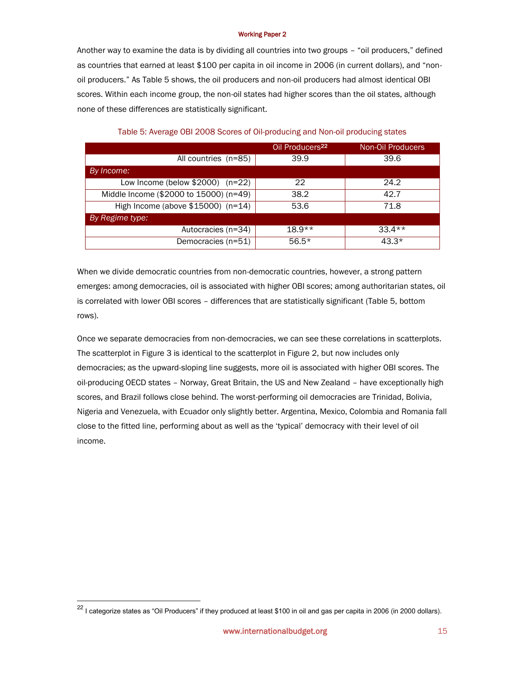Another way to examine the data is by dividing all countries into two groups – "oil producers," defined as countries that earned at least \$100 per capita in oil income in 2006 (in current dollars), and "nonoil producers." As Table 5 shows, the oil producers and non-oil producers had almost identical OBI scores. Within each income group, the non-oil states had higher scores than the oil states, although none of these differences are statistically significant.

|                                        | Oil Producers <sup>22</sup> | <b>Non-Oil Producers</b> |
|----------------------------------------|-----------------------------|--------------------------|
| All countries (n=85)                   | 39.9                        | 39.6                     |
| By Income:                             |                             |                          |
| Low Income (below $$2000$ ) (n=22)     | 22                          | 24.2                     |
| Middle Income (\$2000 to 15000) (n=49) | 38.2                        | 42.7                     |
| High Income (above $$15000$ ) (n=14)   | 53.6                        | 71.8                     |
| By Regime type:                        |                             |                          |
| Autocracies (n=34)                     | $18.9**$                    | $33.4**$                 |
| Democracies (n=51)                     | $56.5*$                     | $43.3*$                  |

## Table 5: Average OBI 2008 Scores of Oil-producing and Non-oil producing states

When we divide democratic countries from non-democratic countries, however, a strong pattern emerges: among democracies, oil is associated with higher OBI scores; among authoritarian states, oil is correlated with lower OBI scores – differences that are statistically significant (Table 5, bottom rows).

Once we separate democracies from non-democracies, we can see these correlations in scatterplots. The scatterplot in Figure 3 is identical to the scatterplot in Figure 2, but now includes only democracies; as the upward-sloping line suggests, more oil is associated with higher OBI scores. The oil-producing OECD states – Norway, Great Britain, the US and New Zealand – have exceptionally high scores, and Brazil follows close behind. The worst-performing oil democracies are Trinidad, Bolivia, Nigeria and Venezuela, with Ecuador only slightly better. Argentina, Mexico, Colombia and Romania fall close to the fitted line, performing about as well as the 'typical' democracy with their level of oil income.

 $^{22}$  I categorize states as "Oil Producers" if they produced at least \$100 in oil and gas per capita in 2006 (in 2000 dollars).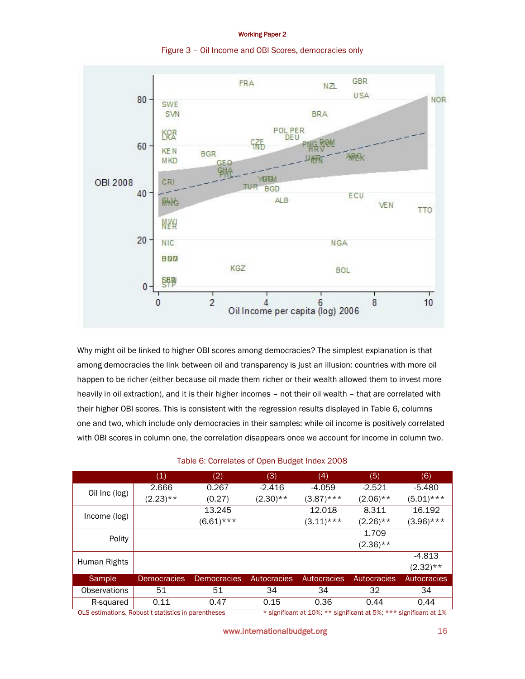



Why might oil be linked to higher OBI scores among democracies? The simplest explanation is that among democracies the link between oil and transparency is just an illusion: countries with more oil happen to be richer (either because oil made them richer or their wealth allowed them to invest more heavily in oil extraction), and it is their higher incomes – not their oil wealth – that are correlated with their higher OBI scores. This is consistent with the regression results displayed in Table 6, columns one and two, which include only democracies in their samples: while oil income is positively correlated with OBI scores in column one, the correlation disappears once we account for income in column two.

### Table 6: Correlates of Open Budget Index 2008

|                     | (1)                | (2)                | (3)                | (4)         | (5)         | (6)                |
|---------------------|--------------------|--------------------|--------------------|-------------|-------------|--------------------|
|                     | 2.666              | 0.267              | $-2.416$           | $-4.059$    | $-2.521$    | $-5.480$           |
| Oil Inc (log)       | $(2.23)$ **        | (0.27)             | $(2.30)$ **        | $(3.87)***$ | $(2.06)$ ** | $(5.01)***$        |
|                     |                    | 13.245             |                    | 12.018      | 8.311       | 16.192             |
| Income (log)        |                    | $(6.61)***$        |                    | $(3.11)***$ | $(2.26)$ ** | $(3.96)***$        |
|                     |                    |                    |                    |             | 1.709       |                    |
| Polity              |                    |                    |                    |             | $(2.36)$ ** |                    |
|                     |                    |                    |                    |             |             | -4.813             |
| Human Rights        |                    |                    |                    |             |             | $(2.32)$ **        |
| Sample              | <b>Democracies</b> | <b>Democracies</b> | <b>Autocracies</b> | Autocracies | Autocracies | <b>Autocracies</b> |
| <b>Observations</b> | 51                 | 51                 | 34                 | 34          | 32          | 34                 |
| R-squared           | 0.11               | 0.47               | 0.15               | 0.36        | 0.44        | 0.44               |

OLS estimations. Robust t statistics in parentheses \* significant at 10%; \*\* significant at 5%; \*\*\* significant at 1%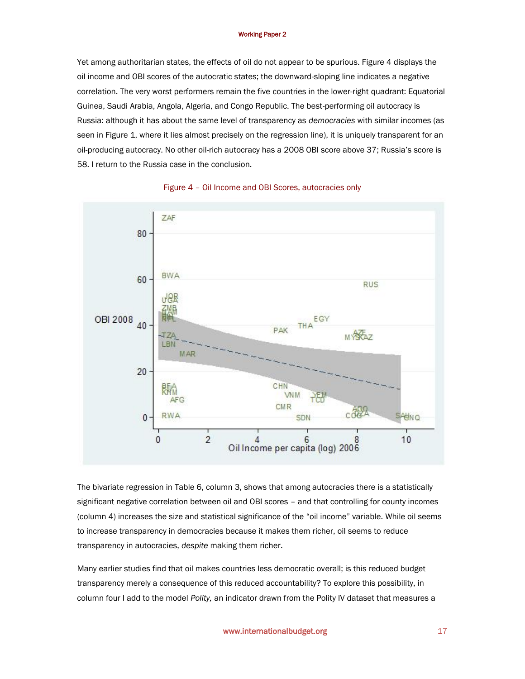Yet among authoritarian states, the effects of oil do not appear to be spurious. Figure 4 displays the oil income and OBI scores of the autocratic states; the downward-sloping line indicates a negative correlation. The very worst performers remain the five countries in the lower-right quadrant: Equatorial Guinea, Saudi Arabia, Angola, Algeria, and Congo Republic. The best-performing oil autocracy is Russia: although it has about the same level of transparency as *democracies* with similar incomes (as seen in Figure 1, where it lies almost precisely on the regression line), it is uniquely transparent for an oil-producing autocracy. No other oil-rich autocracy has a 2008 OBI score above 37; Russia's score is 58. I return to the Russia case in the conclusion.





The bivariate regression in Table 6, column 3, shows that among autocracies there is a statistically significant negative correlation between oil and OBI scores – and that controlling for county incomes (column 4) increases the size and statistical significance of the "oil income" variable. While oil seems to increase transparency in democracies because it makes them richer, oil seems to reduce transparency in autocracies, *despite* making them richer.

Many earlier studies find that oil makes countries less democratic overall; is this reduced budget transparency merely a consequence of this reduced accountability? To explore this possibility, in column four I add to the model *Polity,* an indicator drawn from the Polity IV dataset that measures a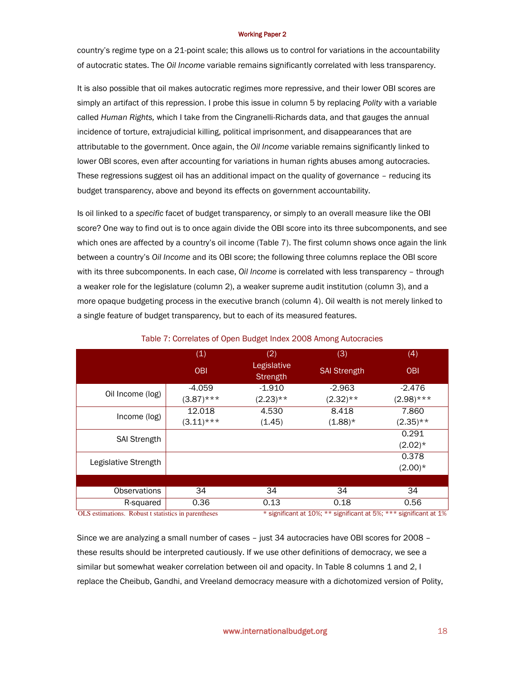country's regime type on a 21-point scale; this allows us to control for variations in the accountability of autocratic states. The *Oil Income* variable remains significantly correlated with less transparency.

It is also possible that oil makes autocratic regimes more repressive, and their lower OBI scores are simply an artifact of this repression. I probe this issue in column 5 by replacing *Polity* with a variable called *Human Rights,* which I take from the Cingranelli-Richards data, and that gauges the annual incidence of torture, extrajudicial killing, political imprisonment, and disappearances that are attributable to the government. Once again, the *Oil Income* variable remains significantly linked to lower OBI scores, even after accounting for variations in human rights abuses among autocracies. These regressions suggest oil has an additional impact on the quality of governance – reducing its budget transparency, above and beyond its effects on government accountability.

Is oil linked to a *specific* facet of budget transparency, or simply to an overall measure like the OBI score? One way to find out is to once again divide the OBI score into its three subcomponents, and see which ones are affected by a country's oil income (Table 7). The first column shows once again the link between a country's *Oil Income* and its OBI score; the following three columns replace the OBI score with its three subcomponents. In each case, *Oil Income* is correlated with less transparency – through a weaker role for the legislature (column 2), a weaker supreme audit institution (column 3), and a more opaque budgeting process in the executive branch (column 4). Oil wealth is not merely linked to a single feature of budget transparency, but to each of its measured features.

|                                                                                                                          | (1)         | (2)                            | (3)                 | (4)          |
|--------------------------------------------------------------------------------------------------------------------------|-------------|--------------------------------|---------------------|--------------|
|                                                                                                                          | <b>OBI</b>  | Legislative<br><b>Strength</b> | <b>SAI Strength</b> | <b>OBI</b>   |
|                                                                                                                          | $-4.059$    | $-1.910$                       | $-2.963$            | $-2.476$     |
| Oil Income (log)                                                                                                         | $(3.87)***$ | $(2.23)$ **                    | $(2.32)$ **         | $(2.98)$ *** |
|                                                                                                                          | 12.018      | 4.530                          | 8.418               | 7.860        |
| Income (log)                                                                                                             | $(3.11)***$ | (1.45)                         | $(1.88)^*$          | $(2.35)$ **  |
| <b>SAI Strength</b>                                                                                                      |             |                                |                     | 0.291        |
|                                                                                                                          |             |                                |                     | $(2.02)^*$   |
| Legislative Strength                                                                                                     |             |                                |                     | 0.378        |
|                                                                                                                          |             |                                |                     | $(2.00)*$    |
|                                                                                                                          |             |                                |                     |              |
| <b>Observations</b>                                                                                                      | 34          | 34                             | 34                  | 34           |
| R-squared                                                                                                                | 0.36        | 0.13                           | 0.18                | 0.56         |
| * significant at 10%; ** significant at 5%; *** significant at 1%<br>OLS estimations. Robust t statistics in parentheses |             |                                |                     |              |

Table 7: Correlates of Open Budget Index 2008 Among Autocracies

Since we are analyzing a small number of cases – just 34 autocracies have OBI scores for 2008 – these results should be interpreted cautiously. If we use other definitions of democracy, we see a similar but somewhat weaker correlation between oil and opacity. In Table 8 columns 1 and 2, I replace the Cheibub, Gandhi, and Vreeland democracy measure with a dichotomized version of Polity,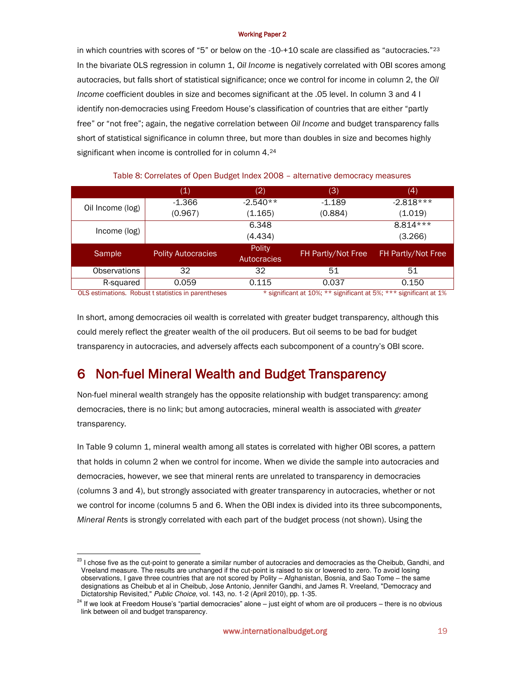in which countries with scores of "5" or below on the -10-+10 scale are classified as "autocracies."<sup>23</sup> In the bivariate OLS regression in column 1, *Oil Income* is negatively correlated with OBI scores among autocracies, but falls short of statistical significance; once we control for income in column 2, the *Oil Income* coefficient doubles in size and becomes significant at the .05 level. In column 3 and 4 I identify non-democracies using Freedom House's classification of countries that are either "partly free" or "not free"; again, the negative correlation between *Oil Income* and budget transparency falls short of statistical significance in column three, but more than doubles in size and becomes highly significant when income is controlled for in column 4.<sup>24</sup>

|                     | $\left( 1\right)$                                   | $\left( 2\right)$                   | (3)                                                                                                                                                                                                                                     | (4)                |
|---------------------|-----------------------------------------------------|-------------------------------------|-----------------------------------------------------------------------------------------------------------------------------------------------------------------------------------------------------------------------------------------|--------------------|
|                     | $-1.366$                                            | $-2.540**$                          | $-1.189$                                                                                                                                                                                                                                | $-2.818***$        |
| Oil Income (log)    | (0.967)                                             | (1.165)                             | (0.884)                                                                                                                                                                                                                                 | (1.019)            |
|                     |                                                     | 6.348                               |                                                                                                                                                                                                                                         | $8.814***$         |
| Income (log)        |                                                     | (4.434)                             |                                                                                                                                                                                                                                         | (3.266)            |
| Sample              | <b>Polity Autocracies</b>                           | <b>Polity</b><br><b>Autocracies</b> | FH Partly/Not Free                                                                                                                                                                                                                      | FH Partly/Not Free |
| <b>Observations</b> | 32                                                  | 32                                  | 51                                                                                                                                                                                                                                      | 51                 |
| R-squared           | 0.059<br>ALA CHARLES AND COMMUNICATIONS OF A STREET | 0.115                               | 0.037<br>design and the control of the product of the state of the state of the state of the state of the state of the state of the state of the state of the state of the state of the state of the state of the state of the state of | 0.150              |

#### Table 8: Correlates of Open Budget Index 2008 – alternative democracy measures

OLS estimations. Robust t statistics in parentheses \* \* significant at 10%; \*\* significant at 5%; \*\*\* significant at 1%

In short, among democracies oil wealth is correlated with greater budget transparency, although this could merely reflect the greater wealth of the oil producers. But oil seems to be bad for budget transparency in autocracies, and adversely affects each subcomponent of a country's OBI score.

## 6 Non-fuel Mineral Wealth and Budget Transparency

Non-fuel mineral wealth strangely has the opposite relationship with budget transparency: among democracies, there is no link; but among autocracies, mineral wealth is associated with *greater*  transparency.

In Table 9 column 1, mineral wealth among all states is correlated with higher OBI scores, a pattern that holds in column 2 when we control for income. When we divide the sample into autocracies and democracies, however, we see that mineral rents are unrelated to transparency in democracies (columns 3 and 4), but strongly associated with greater transparency in autocracies, whether or not we control for income (columns 5 and 6. When the OBI index is divided into its three subcomponents, *Mineral Rents* is strongly correlated with each part of the budget process (not shown). Using the

 $^{23}$  I chose five as the cut-point to generate a similar number of autocracies and democracies as the Cheibub, Gandhi, and Vreeland measure. The results are unchanged if the cut-point is raised to six or lowered to zero. To avoid losing observations, I gave three countries that are not scored by Polity – Afghanistan, Bosnia, and Sao Tome – the same designations as Cheibub et al in Cheibub, Jose Antonio, Jennifer Gandhi, and James R. Vreeland, "Democracy and Dictatorship Revisited," *Public Choice*, vol. 143, no. 1-2 (April 2010), pp. 1-35.

<sup>&</sup>lt;sup>24</sup> If we look at Freedom House's "partial democracies" alone – just eight of whom are oil producers – there is no obvious link between oil and budget transparency.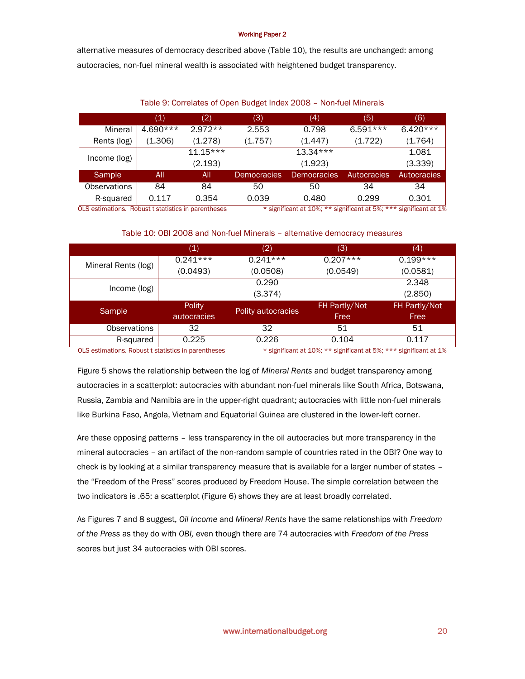alternative measures of democracy described above (Table 10), the results are unchanged: among autocracies, non-fuel mineral wealth is associated with heightened budget transparency.

|                                                    | (1)      | (2)        | (3)                | (4)                                                                                                     | (5)         | (6)         |
|----------------------------------------------------|----------|------------|--------------------|---------------------------------------------------------------------------------------------------------|-------------|-------------|
| Mineral                                            | 4.690*** | $2.972**$  | 2.553              | 0.798                                                                                                   | $6.591***$  | $6.420***$  |
| Rents (log)                                        | (1.306)  | (1.278)    | (1.757)            | (1.447)                                                                                                 | (1.722)     | (1.764)     |
|                                                    |          | $11.15***$ |                    | $13.34***$                                                                                              |             | 1.081       |
| Income (log)                                       |          | (2.193)    |                    | (1.923)                                                                                                 |             | (3.339)     |
| Sample                                             | All      | All        | <b>Democracies</b> | Democracies                                                                                             | Autocracies | Autocracies |
| Observations                                       | 84       | 84         | 50                 | 50                                                                                                      | 34          | 34          |
| R-squared                                          | 0.117    | 0.354      | 0.039              | 0.480                                                                                                   | 0.299       | 0.301       |
| OLO setimentiana. Debuat tiettation in novemberges |          |            |                    | $\pm$ airmificant at $4.00/\sqrt{2}$ the airmificant at $E0/\sqrt{2}$ the airmificant at $4.0/\sqrt{2}$ |             |             |

## Table 9: Correlates of Open Budget Index 2008 – Non-fuel Minerals

OLS estimations. Robust t statistics in parentheses \* significant at 10%; \*\* significant at 5%; \*\*\* significant at 1%

#### Table 10: OBI 2008 and Non-fuel Minerals – alternative democracy measures

|                     | $\left( 1\right)$ | (2)                | (3)           | (4)           |
|---------------------|-------------------|--------------------|---------------|---------------|
| Mineral Rents (log) | $0.241***$        | $0.241***$         | $0.207***$    | $0.199***$    |
|                     | (0.0493)          | (0.0508)           | (0.0549)      | (0.0581)      |
| Income (log)        |                   | 0.290              |               | 2.348         |
|                     |                   | (3.374)            |               | (2.850)       |
| Sample              | Polity            | Polity autocracies | FH Partly/Not | FH Partly/Not |
|                     | autocracies       |                    | Free          | Free          |
| <b>Observations</b> | 32                | 32                 | 51            | 51            |
| R-squared           | 0.225             | 0.226              | 0.104         | 0.117         |

OLS estimations. Robust t statistics in parentheses \* significant at 10%; \*\* significant at 5%; \*\*\* significant at 1%

Figure 5 shows the relationship between the log of *Mineral Rents* and budget transparency among autocracies in a scatterplot: autocracies with abundant non-fuel minerals like South Africa, Botswana, Russia, Zambia and Namibia are in the upper-right quadrant; autocracies with little non-fuel minerals like Burkina Faso, Angola, Vietnam and Equatorial Guinea are clustered in the lower-left corner.

Are these opposing patterns – less transparency in the oil autocracies but more transparency in the mineral autocracies – an artifact of the non-random sample of countries rated in the OBI? One way to check is by looking at a similar transparency measure that is available for a larger number of states – the "Freedom of the Press" scores produced by Freedom House. The simple correlation between the two indicators is .65; a scatterplot (Figure 6) shows they are at least broadly correlated.

As Figures 7 and 8 suggest, *Oil Income* and *Mineral Rents* have the same relationships with *Freedom of the Press* as they do with *OBI,* even though there are 74 autocracies with *Freedom of the Press*  scores but just 34 autocracies with OBI scores.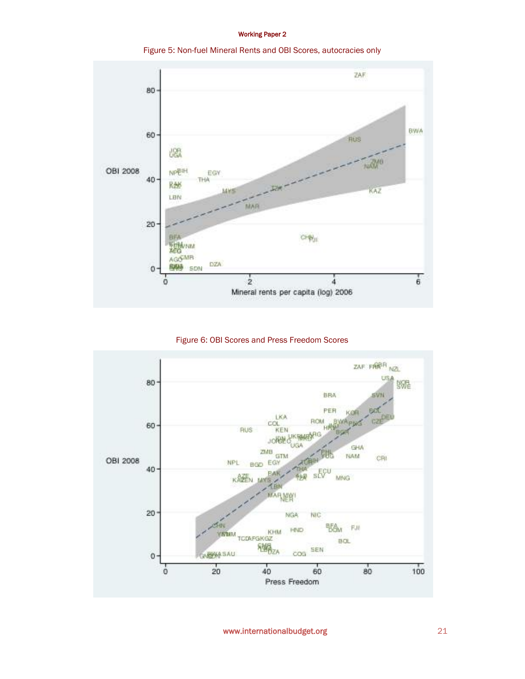

Figure 5: Non-fuel Mineral Rents and OBI Scores, autocracies only



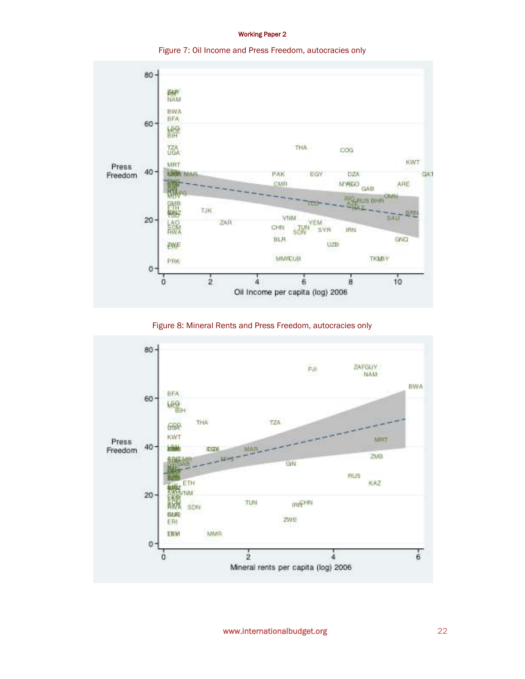





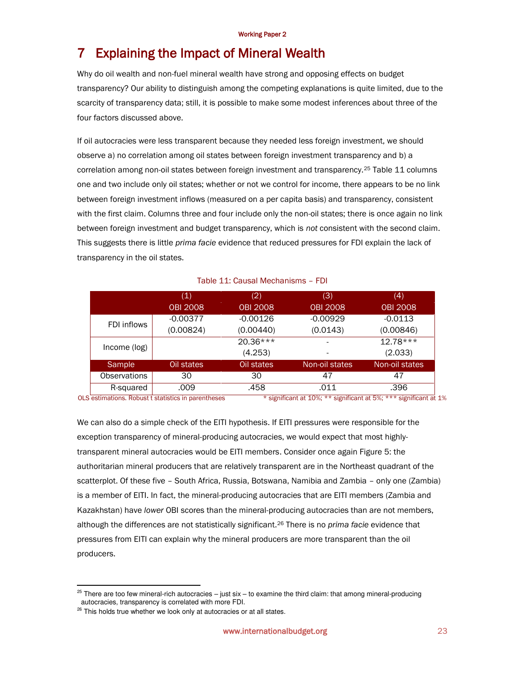## 7 Explaining the Impact of Mineral Wealth

Why do oil wealth and non-fuel mineral wealth have strong and opposing effects on budget transparency? Our ability to distinguish among the competing explanations is quite limited, due to the scarcity of transparency data; still, it is possible to make some modest inferences about three of the four factors discussed above.

If oil autocracies were less transparent because they needed less foreign investment, we should observe a) no correlation among oil states between foreign investment transparency and b) a correlation among non-oil states between foreign investment and transparency.25 Table 11 columns one and two include only oil states; whether or not we control for income, there appears to be no link between foreign investment inflows (measured on a per capita basis) and transparency, consistent with the first claim. Columns three and four include only the non-oil states; there is once again no link between foreign investment and budget transparency, which is *not* consistent with the second claim. This suggests there is little *prima facie* evidence that reduced pressures for FDI explain the lack of transparency in the oil states.

|              | (1)             | $\left( 2\right)$ | (3)                      | $\left( 4\right)$ |
|--------------|-----------------|-------------------|--------------------------|-------------------|
|              | <b>OBI 2008</b> | <b>OBI 2008</b>   | <b>OBI 2008</b>          | <b>OBI 2008</b>   |
| FDI inflows  | $-0.00377$      | $-0.00126$        | $-0.00929$               | $-0.0113$         |
|              | (0.00824)       | (0.00440)         | (0.0143)                 | (0.00846)         |
|              |                 | $20.36***$        | $\overline{\phantom{0}}$ | $12.78***$        |
| Income (log) |                 | (4.253)           |                          | (2.033)           |
| Sample       | Oil states      | Oil states        | Non-oil states           | Non-oil states    |
| Observations | 30              | 30                | 47                       | 47                |
| R-squared    | .009            | .458              | .011                     | .396              |

## Table 11: Causal Mechanisms – FDI

OLS estimations. Robust t statistics in parentheses \* significant at 10%; \*\* significant at 5%; \*\*\* significant at 1%

We can also do a simple check of the EITI hypothesis. If EITI pressures were responsible for the exception transparency of mineral-producing autocracies, we would expect that most highlytransparent mineral autocracies would be EITI members. Consider once again Figure 5: the authoritarian mineral producers that are relatively transparent are in the Northeast quadrant of the scatterplot. Of these five – South Africa, Russia, Botswana, Namibia and Zambia – only one (Zambia) is a member of EITI. In fact, the mineral-producing autocracies that are EITI members (Zambia and Kazakhstan) have *lower* OBI scores than the mineral-producing autocracies than are not members, although the differences are not statistically significant.26 There is no *prima facie* evidence that pressures from EITI can explain why the mineral producers are more transparent than the oil producers.

 $\overline{a}$  $^{25}$  There are too few mineral-rich autocracies – just six – to examine the third claim: that among mineral-producing autocracies, transparency is correlated with more FDI.

<sup>&</sup>lt;sup>26</sup> This holds true whether we look only at autocracies or at all states.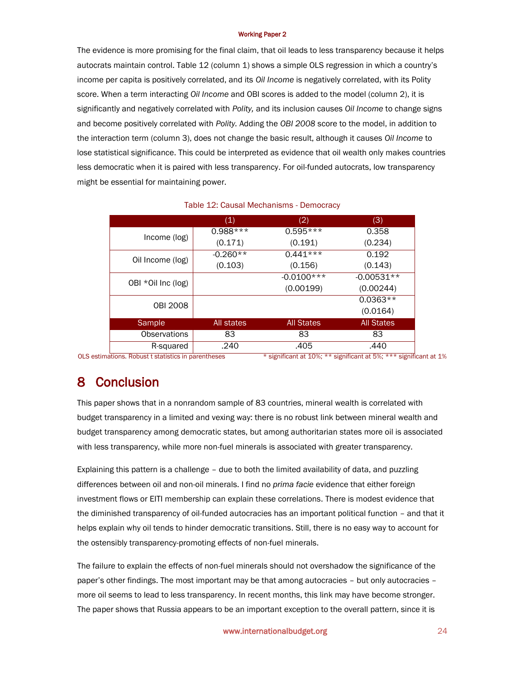The evidence is more promising for the final claim, that oil leads to less transparency because it helps autocrats maintain control. Table 12 (column 1) shows a simple OLS regression in which a country's income per capita is positively correlated, and its *Oil Income* is negatively correlated, with its Polity score. When a term interacting *Oil Income* and OBI scores is added to the model (column 2), it is significantly and negatively correlated with *Polity,* and its inclusion causes *Oil Income* to change signs and become positively correlated with *Polity.* Adding the *OBI 2008* score to the model, in addition to the interaction term (column 3), does not change the basic result, although it causes *Oil Income* to lose statistical significance. This could be interpreted as evidence that oil wealth only makes countries less democratic when it is paired with less transparency. For oil-funded autocrats, low transparency might be essential for maintaining power.

|                     | (1)        | (2)               | (3)               |
|---------------------|------------|-------------------|-------------------|
| Income (log)        | $0.988***$ | $0.595***$        | 0.358             |
|                     | (0.171)    | (0.191)           | (0.234)           |
| Oil Income (log)    | $-0.260**$ | $0.441***$        | 0.192             |
|                     | (0.103)    | (0.156)           | (0.143)           |
| OBI *Oil Inc (log)  |            | $-0.0100***$      | $-0.00531**$      |
|                     |            | (0.00199)         | (0.00244)         |
| <b>OBI 2008</b>     |            |                   | $0.0363**$        |
|                     |            |                   | (0.0164)          |
| Sample              | All states | <b>All States</b> | <b>All States</b> |
| <b>Observations</b> | 83         | 83                | 83                |
| R-squared           | .240       | .405              | .440              |

### Table 12: Causal Mechanisms - Democracy

OLS estimations. Robust t statistics in parentheses \* significant at 10%; \*\* significant at 5%; \*\*\* significant at 1%

## 8 Conclusion

This paper shows that in a nonrandom sample of 83 countries, mineral wealth is correlated with budget transparency in a limited and vexing way: there is no robust link between mineral wealth and budget transparency among democratic states, but among authoritarian states more oil is associated with less transparency, while more non-fuel minerals is associated with greater transparency.

Explaining this pattern is a challenge – due to both the limited availability of data, and puzzling differences between oil and non-oil minerals. I find no *prima facie* evidence that either foreign investment flows or EITI membership can explain these correlations. There is modest evidence that the diminished transparency of oil-funded autocracies has an important political function – and that it helps explain why oil tends to hinder democratic transitions. Still, there is no easy way to account for the ostensibly transparency-promoting effects of non-fuel minerals.

The failure to explain the effects of non-fuel minerals should not overshadow the significance of the paper's other findings. The most important may be that among autocracies – but only autocracies – more oil seems to lead to less transparency. In recent months, this link may have become stronger. The paper shows that Russia appears to be an important exception to the overall pattern, since it is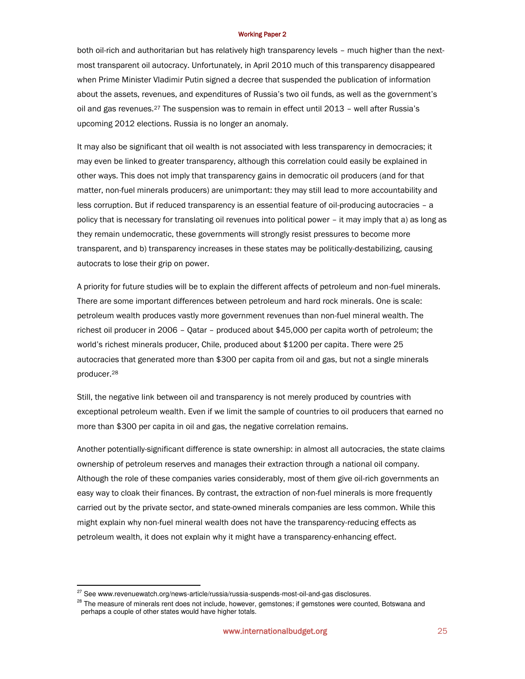both oil-rich and authoritarian but has relatively high transparency levels – much higher than the nextmost transparent oil autocracy. Unfortunately, in April 2010 much of this transparency disappeared when Prime Minister Vladimir Putin signed a decree that suspended the publication of information about the assets, revenues, and expenditures of Russia's two oil funds, as well as the government's oil and gas revenues.27 The suspension was to remain in effect until 2013 – well after Russia's upcoming 2012 elections. Russia is no longer an anomaly.

It may also be significant that oil wealth is not associated with less transparency in democracies; it may even be linked to greater transparency, although this correlation could easily be explained in other ways. This does not imply that transparency gains in democratic oil producers (and for that matter, non-fuel minerals producers) are unimportant: they may still lead to more accountability and less corruption. But if reduced transparency is an essential feature of oil-producing autocracies – a policy that is necessary for translating oil revenues into political power – it may imply that a) as long as they remain undemocratic, these governments will strongly resist pressures to become more transparent, and b) transparency increases in these states may be politically-destabilizing, causing autocrats to lose their grip on power.

A priority for future studies will be to explain the different affects of petroleum and non-fuel minerals. There are some important differences between petroleum and hard rock minerals. One is scale: petroleum wealth produces vastly more government revenues than non-fuel mineral wealth. The richest oil producer in 2006 – Qatar – produced about \$45,000 per capita worth of petroleum; the world's richest minerals producer, Chile, produced about \$1200 per capita. There were 25 autocracies that generated more than \$300 per capita from oil and gas, but not a single minerals producer.<sup>28</sup>

Still, the negative link between oil and transparency is not merely produced by countries with exceptional petroleum wealth. Even if we limit the sample of countries to oil producers that earned no more than \$300 per capita in oil and gas, the negative correlation remains.

Another potentially-significant difference is state ownership: in almost all autocracies, the state claims ownership of petroleum reserves and manages their extraction through a national oil company. Although the role of these companies varies considerably, most of them give oil-rich governments an easy way to cloak their finances. By contrast, the extraction of non-fuel minerals is more frequently carried out by the private sector, and state-owned minerals companies are less common. While this might explain why non-fuel mineral wealth does not have the transparency-reducing effects as petroleum wealth, it does not explain why it might have a transparency-enhancing effect.

 $27$  Se[e www.revenuewatch.org/news-article/russia/russia-suspends-most-oil-and-gas d](http://www.revenuewatch.org/news-article/russia/russia-suspends-most-oil-and-gas)isclosures.

<sup>&</sup>lt;sup>28</sup> The measure of minerals rent does not include, however, gemstones; if gemstones were counted, Botswana and perhaps a couple of other states would have higher totals.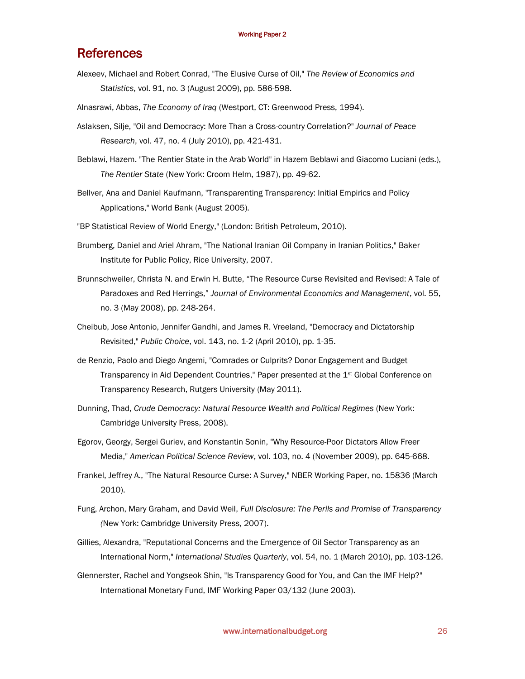## References

- Alexeev, Michael and Robert Conrad, "The Elusive Curse of Oil," *The Review of Economics and Statistics*, vol. 91, no. 3 (August 2009), pp. 586-598.
- Alnasrawi, Abbas, *The Economy of Iraq* (Westport, CT: Greenwood Press, 1994).
- Aslaksen, Silje, "Oil and Democracy: More Than a Cross-country Correlation?" *Journal of Peace Research*, vol. 47, no. 4 (July 2010), pp. 421-431.
- Beblawi, Hazem. "The Rentier State in the Arab World" in Hazem Beblawi and Giacomo Luciani (eds.), *The Rentier State* (New York: Croom Helm, 1987), pp. 49-62.
- Bellver, Ana and Daniel Kaufmann, "Transparenting Transparency: Initial Empirics and Policy Applications," World Bank (August 2005).
- "BP Statistical Review of World Energy," (London: British Petroleum, 2010).
- Brumberg, Daniel and Ariel Ahram, "The National Iranian Oil Company in Iranian Politics," Baker Institute for Public Policy, Rice University, 2007.
- Brunnschweiler, Christa N. and Erwin H. Butte, "The Resource Curse Revisited and Revised: A Tale of Paradoxes and Red Herrings," *Journal of Environmental Economics and Management*, vol. 55, no. 3 (May 2008), pp. 248-264.
- Cheibub, Jose Antonio, Jennifer Gandhi, and James R. Vreeland, "Democracy and Dictatorship Revisited," *Public Choice*, vol. 143, no. 1-2 (April 2010), pp. 1-35.
- de Renzio, Paolo and Diego Angemi, "Comrades or Culprits? Donor Engagement and Budget Transparency in Aid Dependent Countries," Paper presented at the 1<sup>st</sup> Global Conference on Transparency Research, Rutgers University (May 2011).
- Dunning, Thad, *Crude Democracy: Natural Resource Wealth and Political Regimes* (New York: Cambridge University Press, 2008).
- Egorov, Georgy, Sergei Guriev, and Konstantin Sonin, "Why Resource-Poor Dictators Allow Freer Media," *American Political Science Review*, vol. 103, no. 4 (November 2009), pp. 645-668.
- Frankel, Jeffrey A., "The Natural Resource Curse: A Survey," NBER Working Paper, no. 15836 (March 2010).
- Fung, Archon, Mary Graham, and David Weil, *Full Disclosure: The Perils and Promise of Transparency (*New York: Cambridge University Press, 2007).
- Gillies, Alexandra, "Reputational Concerns and the Emergence of Oil Sector Transparency as an International Norm," *International Studies Quarterly*, vol. 54, no. 1 (March 2010), pp. 103-126.
- Glennerster, Rachel and Yongseok Shin, "Is Transparency Good for You, and Can the IMF Help?" International Monetary Fund, IMF Working Paper 03/132 (June 2003).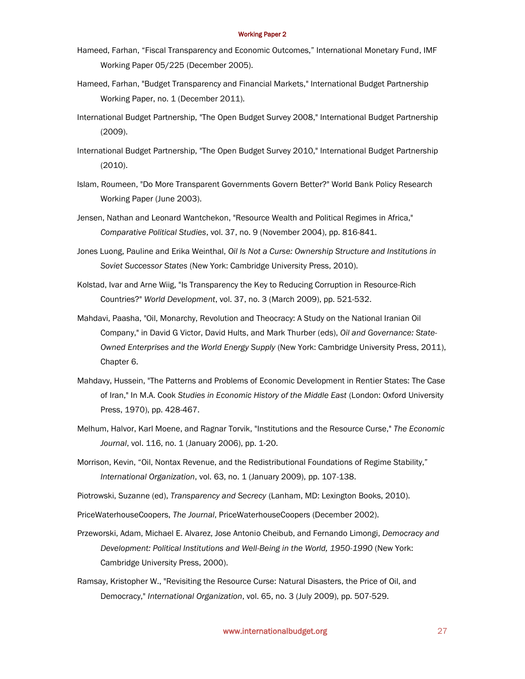- Hameed, Farhan, "Fiscal Transparency and Economic Outcomes," International Monetary Fund, IMF Working Paper 05/225 (December 2005).
- Hameed, Farhan, "Budget Transparency and Financial Markets," International Budget Partnership Working Paper, no. 1 (December 2011).
- International Budget Partnership, "The Open Budget Survey 2008," International Budget Partnership (2009).
- International Budget Partnership, "The Open Budget Survey 2010," International Budget Partnership (2010).
- Islam, Roumeen, "Do More Transparent Governments Govern Better?" World Bank Policy Research Working Paper (June 2003).
- Jensen, Nathan and Leonard Wantchekon, "Resource Wealth and Political Regimes in Africa," *Comparative Political Studies*, vol. 37, no. 9 (November 2004), pp. 816-841.
- Jones Luong, Pauline and Erika Weinthal, *Oil Is Not a Curse: Ownership Structure and Institutions in Soviet Successor States* (New York: Cambridge University Press, 2010).
- Kolstad, Ivar and Arne Wiig, "Is Transparency the Key to Reducing Corruption in Resource-Rich Countries?" *World Development*, vol. 37, no. 3 (March 2009), pp. 521-532.
- Mahdavi, Paasha, "Oil, Monarchy, Revolution and Theocracy: A Study on the National Iranian Oil Company," in David G Victor, David Hults, and Mark Thurber (eds), *Oil and Governance: State-Owned Enterprises and the World Energy Supply* (New York: Cambridge University Press, 2011), Chapter 6.
- Mahdavy, Hussein, "The Patterns and Problems of Economic Development in Rentier States: The Case of Iran," In M.A. Cook *Studies in Economic History of the Middle East* (London: Oxford University Press, 1970), pp. 428-467.
- Melhum, Halvor, Karl Moene, and Ragnar Torvik, "Institutions and the Resource Curse," *The Economic Journal*, vol. 116, no. 1 (January 2006), pp. 1-20.
- Morrison, Kevin, "Oil, Nontax Revenue, and the Redistributional Foundations of Regime Stability," *International Organization*, vol. 63, no. 1 (January 2009), pp. 107-138.
- Piotrowski, Suzanne (ed), *Transparency and Secrecy* (Lanham, MD: Lexington Books, 2010).
- PriceWaterhouseCoopers, *The Journal*, PriceWaterhouseCoopers (December 2002).
- Przeworski, Adam, Michael E. Alvarez, Jose Antonio Cheibub, and Fernando Limongi, *Democracy and Development: Political Institutions and Well-Being in the World, 1950-1990* (New York: Cambridge University Press, 2000).
- Ramsay, Kristopher W., "Revisiting the Resource Curse: Natural Disasters, the Price of Oil, and Democracy," *International Organization*, vol. 65, no. 3 (July 2009), pp. 507-529.